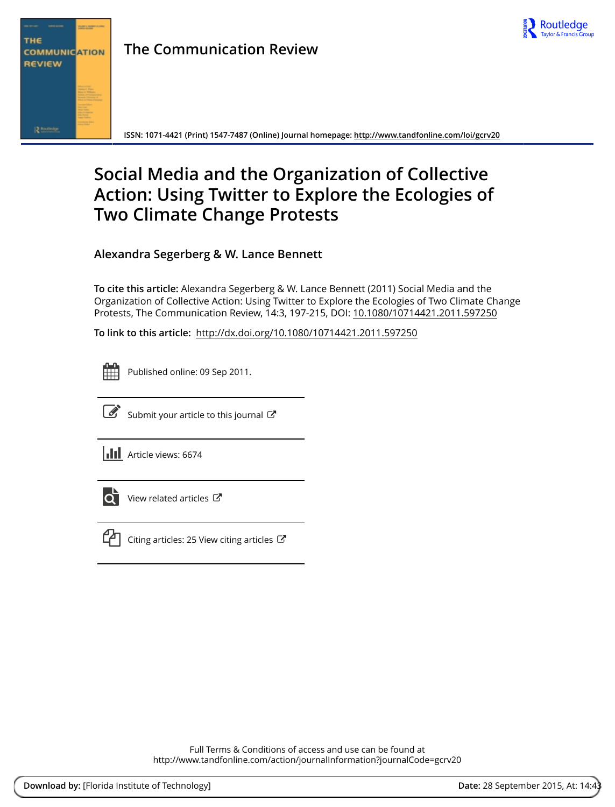



**The Communication Review**

**ISSN: 1071-4421 (Print) 1547-7487 (Online) Journal homepage:<http://www.tandfonline.com/loi/gcrv20>**

# **Social Media and the Organization of Collective Action: Using Twitter to Explore the Ecologies of Two Climate Change Protests**

**Alexandra Segerberg & W. Lance Bennett**

**To cite this article:** Alexandra Segerberg & W. Lance Bennett (2011) Social Media and the Organization of Collective Action: Using Twitter to Explore the Ecologies of Two Climate Change Protests, The Communication Review, 14:3, 197-215, DOI: [10.1080/10714421.2011.597250](http://www.tandfonline.com/action/showCitFormats?doi=10.1080/10714421.2011.597250)

**To link to this article:** <http://dx.doi.org/10.1080/10714421.2011.597250>

Published online: 09 Sep 2011.



[Submit your article to this journal](http://www.tandfonline.com/action/authorSubmission?journalCode=gcrv20&page=instructions)  $\mathbb{Z}$ 

**III** Article views: 6674



 $\overrightarrow{Q}$  [View related articles](http://www.tandfonline.com/doi/mlt/10.1080/10714421.2011.597250)  $\overrightarrow{C}$ 



[Citing articles: 25 View citing articles](http://www.tandfonline.com/doi/citedby/10.1080/10714421.2011.597250#tabModule)  $\mathbb{Z}$ 

Full Terms & Conditions of access and use can be found at <http://www.tandfonline.com/action/journalInformation?journalCode=gcrv20>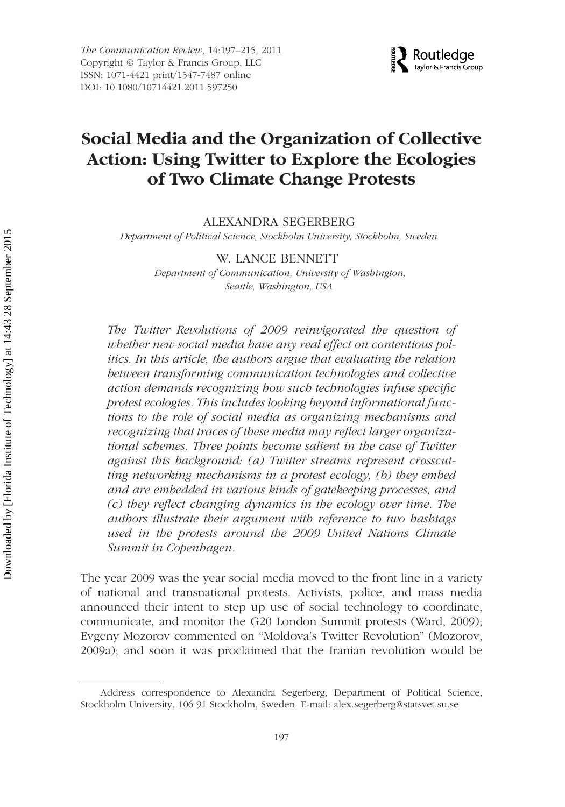*The Communication Review*, 14:197–215, 2011 Copyright © Taylor & Francis Group, LLC ISSN: 1071-4421 print/1547-7487 online DOI: 10.1080/10714421.2011.597250

# **Social Media and the Organization of Collective Action: Using Twitter to Explore the Ecologies of Two Climate Change Protests**

ALEXANDRA SEGERBERG

*Department of Political Science, Stockholm University, Stockholm, Sweden*

#### W. LANCE BENNETT

*Department of Communication, University of Washington, Seattle, Washington, USA*

*The Twitter Revolutions of 2009 reinvigorated the question of whether new social media have any real effect on contentious politics. In this article, the authors argue that evaluating the relation between transforming communication technologies and collective action demands recognizing how such technologies infuse specific protest ecologies. This includes looking beyond informational functions to the role of social media as organizing mechanisms and recognizing that traces of these media may reflect larger organizational schemes. Three points become salient in the case of Twitter against this background: (a) Twitter streams represent crosscutting networking mechanisms in a protest ecology, (b) they embed and are embedded in various kinds of gatekeeping processes, and (c) they reflect changing dynamics in the ecology over time. The authors illustrate their argument with reference to two hashtags used in the protests around the 2009 United Nations Climate Summit in Copenhagen.*

The year 2009 was the year social media moved to the front line in a variety of national and transnational protests. Activists, police, and mass media announced their intent to step up use of social technology to coordinate, communicate, and monitor the G20 London Summit protests (Ward, 2009); Evgeny Mozorov commented on "Moldova's Twitter Revolution" (Mozorov, 2009a); and soon it was proclaimed that the Iranian revolution would be



Address correspondence to Alexandra Segerberg, Department of Political Science, Stockholm University, 106 91 Stockholm, Sweden. E-mail: alex.segerberg@statsvet.su.se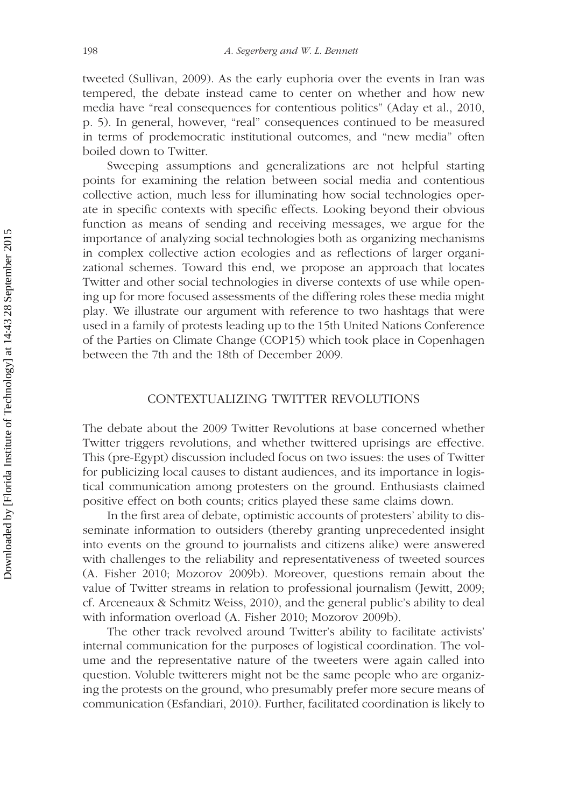tweeted (Sullivan, 2009). As the early euphoria over the events in Iran was tempered, the debate instead came to center on whether and how new media have "real consequences for contentious politics" (Aday et al., 2010, p. 5). In general, however, "real" consequences continued to be measured in terms of prodemocratic institutional outcomes, and "new media" often boiled down to Twitter.

Sweeping assumptions and generalizations are not helpful starting points for examining the relation between social media and contentious collective action, much less for illuminating how social technologies operate in specific contexts with specific effects. Looking beyond their obvious function as means of sending and receiving messages, we argue for the importance of analyzing social technologies both as organizing mechanisms in complex collective action ecologies and as reflections of larger organizational schemes. Toward this end, we propose an approach that locates Twitter and other social technologies in diverse contexts of use while opening up for more focused assessments of the differing roles these media might play. We illustrate our argument with reference to two hashtags that were used in a family of protests leading up to the 15th United Nations Conference of the Parties on Climate Change (COP15) which took place in Copenhagen between the 7th and the 18th of December 2009.

# CONTEXTUALIZING TWITTER REVOLUTIONS

The debate about the 2009 Twitter Revolutions at base concerned whether Twitter triggers revolutions, and whether twittered uprisings are effective. This (pre-Egypt) discussion included focus on two issues: the uses of Twitter for publicizing local causes to distant audiences, and its importance in logistical communication among protesters on the ground. Enthusiasts claimed positive effect on both counts; critics played these same claims down.

In the first area of debate, optimistic accounts of protesters' ability to disseminate information to outsiders (thereby granting unprecedented insight into events on the ground to journalists and citizens alike) were answered with challenges to the reliability and representativeness of tweeted sources (A. Fisher 2010; Mozorov 2009b). Moreover, questions remain about the value of Twitter streams in relation to professional journalism (Jewitt, 2009; cf. Arceneaux & Schmitz Weiss, 2010), and the general public's ability to deal with information overload (A. Fisher 2010; Mozorov 2009b).

The other track revolved around Twitter's ability to facilitate activists' internal communication for the purposes of logistical coordination. The volume and the representative nature of the tweeters were again called into question. Voluble twitterers might not be the same people who are organizing the protests on the ground, who presumably prefer more secure means of communication (Esfandiari, 2010). Further, facilitated coordination is likely to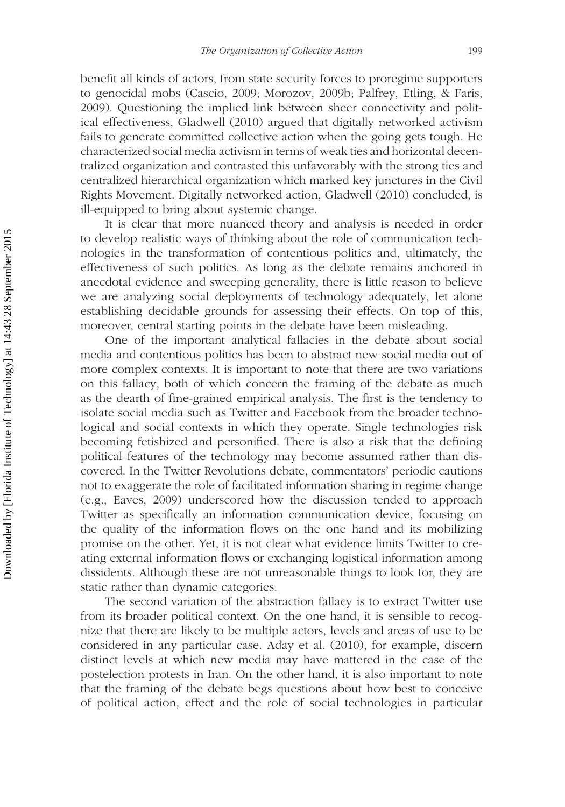benefit all kinds of actors, from state security forces to proregime supporters to genocidal mobs (Cascio, 2009; Morozov, 2009b; Palfrey, Etling, & Faris, 2009). Questioning the implied link between sheer connectivity and political effectiveness, Gladwell (2010) argued that digitally networked activism fails to generate committed collective action when the going gets tough. He characterized social media activism in terms of weak ties and horizontal decentralized organization and contrasted this unfavorably with the strong ties and centralized hierarchical organization which marked key junctures in the Civil Rights Movement. Digitally networked action, Gladwell (2010) concluded, is ill-equipped to bring about systemic change.

It is clear that more nuanced theory and analysis is needed in order to develop realistic ways of thinking about the role of communication technologies in the transformation of contentious politics and, ultimately, the effectiveness of such politics. As long as the debate remains anchored in anecdotal evidence and sweeping generality, there is little reason to believe we are analyzing social deployments of technology adequately, let alone establishing decidable grounds for assessing their effects. On top of this, moreover, central starting points in the debate have been misleading.

One of the important analytical fallacies in the debate about social media and contentious politics has been to abstract new social media out of more complex contexts. It is important to note that there are two variations on this fallacy, both of which concern the framing of the debate as much as the dearth of fine-grained empirical analysis. The first is the tendency to isolate social media such as Twitter and Facebook from the broader technological and social contexts in which they operate. Single technologies risk becoming fetishized and personified. There is also a risk that the defining political features of the technology may become assumed rather than discovered. In the Twitter Revolutions debate, commentators' periodic cautions not to exaggerate the role of facilitated information sharing in regime change (e.g., Eaves, 2009) underscored how the discussion tended to approach Twitter as specifically an information communication device, focusing on the quality of the information flows on the one hand and its mobilizing promise on the other. Yet, it is not clear what evidence limits Twitter to creating external information flows or exchanging logistical information among dissidents. Although these are not unreasonable things to look for, they are static rather than dynamic categories.

The second variation of the abstraction fallacy is to extract Twitter use from its broader political context. On the one hand, it is sensible to recognize that there are likely to be multiple actors, levels and areas of use to be considered in any particular case. Aday et al. (2010), for example, discern distinct levels at which new media may have mattered in the case of the postelection protests in Iran. On the other hand, it is also important to note that the framing of the debate begs questions about how best to conceive of political action, effect and the role of social technologies in particular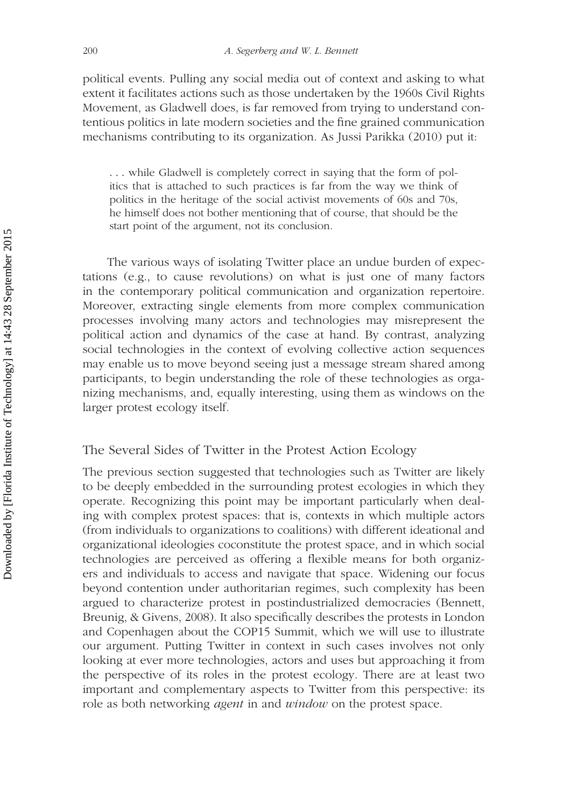political events. Pulling any social media out of context and asking to what extent it facilitates actions such as those undertaken by the 1960s Civil Rights Movement, as Gladwell does, is far removed from trying to understand contentious politics in late modern societies and the fine grained communication mechanisms contributing to its organization. As Jussi Parikka (2010) put it:

*...* while Gladwell is completely correct in saying that the form of politics that is attached to such practices is far from the way we think of politics in the heritage of the social activist movements of 60s and 70s, he himself does not bother mentioning that of course, that should be the start point of the argument, not its conclusion.

The various ways of isolating Twitter place an undue burden of expectations (e.g., to cause revolutions) on what is just one of many factors in the contemporary political communication and organization repertoire. Moreover, extracting single elements from more complex communication processes involving many actors and technologies may misrepresent the political action and dynamics of the case at hand. By contrast, analyzing social technologies in the context of evolving collective action sequences may enable us to move beyond seeing just a message stream shared among participants, to begin understanding the role of these technologies as organizing mechanisms, and, equally interesting, using them as windows on the larger protest ecology itself.

# The Several Sides of Twitter in the Protest Action Ecology

The previous section suggested that technologies such as Twitter are likely to be deeply embedded in the surrounding protest ecologies in which they operate. Recognizing this point may be important particularly when dealing with complex protest spaces: that is, contexts in which multiple actors (from individuals to organizations to coalitions) with different ideational and organizational ideologies coconstitute the protest space, and in which social technologies are perceived as offering a flexible means for both organizers and individuals to access and navigate that space. Widening our focus beyond contention under authoritarian regimes, such complexity has been argued to characterize protest in postindustrialized democracies (Bennett, Breunig, & Givens, 2008). It also specifically describes the protests in London and Copenhagen about the COP15 Summit, which we will use to illustrate our argument. Putting Twitter in context in such cases involves not only looking at ever more technologies, actors and uses but approaching it from the perspective of its roles in the protest ecology. There are at least two important and complementary aspects to Twitter from this perspective: its role as both networking *agent* in and *window* on the protest space.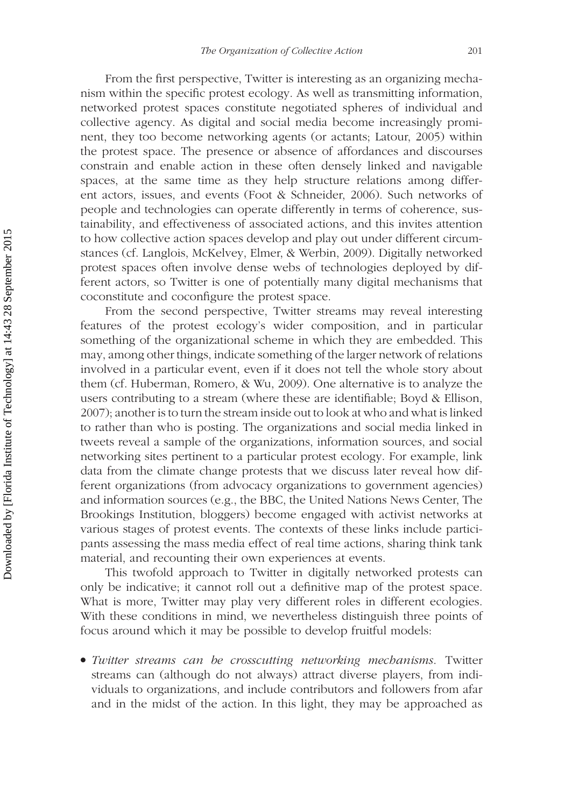From the first perspective, Twitter is interesting as an organizing mechanism within the specific protest ecology. As well as transmitting information, networked protest spaces constitute negotiated spheres of individual and collective agency. As digital and social media become increasingly prominent, they too become networking agents (or actants; Latour, 2005) within the protest space. The presence or absence of affordances and discourses constrain and enable action in these often densely linked and navigable spaces, at the same time as they help structure relations among different actors, issues, and events (Foot & Schneider, 2006). Such networks of people and technologies can operate differently in terms of coherence, sustainability, and effectiveness of associated actions, and this invites attention to how collective action spaces develop and play out under different circumstances (cf. Langlois, McKelvey, Elmer, & Werbin, 2009). Digitally networked protest spaces often involve dense webs of technologies deployed by different actors, so Twitter is one of potentially many digital mechanisms that coconstitute and coconfigure the protest space.

From the second perspective, Twitter streams may reveal interesting features of the protest ecology's wider composition, and in particular something of the organizational scheme in which they are embedded. This may, among other things, indicate something of the larger network of relations involved in a particular event, even if it does not tell the whole story about them (cf. Huberman, Romero, & Wu, 2009). One alternative is to analyze the users contributing to a stream (where these are identifiable; Boyd & Ellison, 2007); another is to turn the stream inside out to look at who and what is linked to rather than who is posting. The organizations and social media linked in tweets reveal a sample of the organizations, information sources, and social networking sites pertinent to a particular protest ecology. For example, link data from the climate change protests that we discuss later reveal how different organizations (from advocacy organizations to government agencies) and information sources (e.g., the BBC, the United Nations News Center, The Brookings Institution, bloggers) become engaged with activist networks at various stages of protest events. The contexts of these links include participants assessing the mass media effect of real time actions, sharing think tank material, and recounting their own experiences at events.

This twofold approach to Twitter in digitally networked protests can only be indicative; it cannot roll out a definitive map of the protest space. What is more, Twitter may play very different roles in different ecologies. With these conditions in mind, we nevertheless distinguish three points of focus around which it may be possible to develop fruitful models:

● *Twitter streams can be crosscutting networking mechanisms*. Twitter streams can (although do not always) attract diverse players, from individuals to organizations, and include contributors and followers from afar and in the midst of the action. In this light, they may be approached as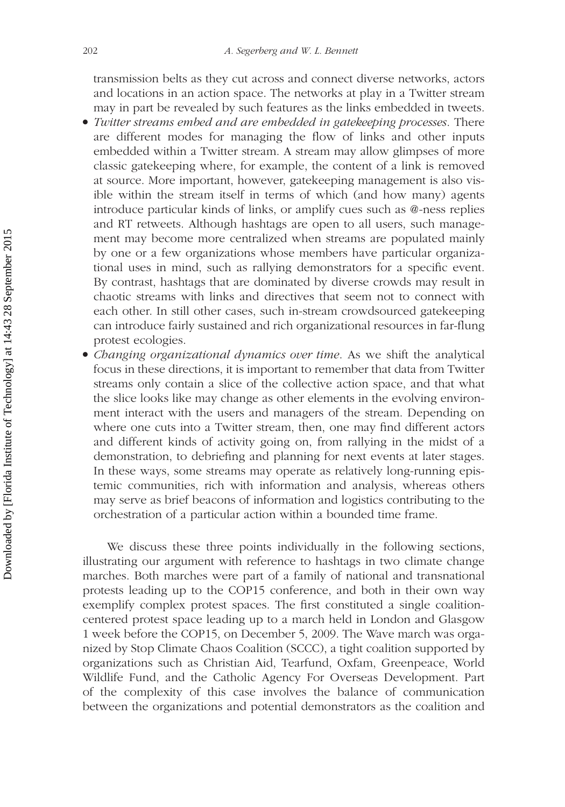transmission belts as they cut across and connect diverse networks, actors and locations in an action space. The networks at play in a Twitter stream may in part be revealed by such features as the links embedded in tweets.

- *Twitter streams embed and are embedded in gatekeeping processes*. There are different modes for managing the flow of links and other inputs embedded within a Twitter stream. A stream may allow glimpses of more classic gatekeeping where, for example, the content of a link is removed at source. More important, however, gatekeeping management is also visible within the stream itself in terms of which (and how many) agents introduce particular kinds of links, or amplify cues such as @-ness replies and RT retweets. Although hashtags are open to all users, such management may become more centralized when streams are populated mainly by one or a few organizations whose members have particular organizational uses in mind, such as rallying demonstrators for a specific event. By contrast, hashtags that are dominated by diverse crowds may result in chaotic streams with links and directives that seem not to connect with each other. In still other cases, such in-stream crowdsourced gatekeeping can introduce fairly sustained and rich organizational resources in far-flung protest ecologies.
- *Changing organizational dynamics over time*. As we shift the analytical focus in these directions, it is important to remember that data from Twitter streams only contain a slice of the collective action space, and that what the slice looks like may change as other elements in the evolving environment interact with the users and managers of the stream. Depending on where one cuts into a Twitter stream, then, one may find different actors and different kinds of activity going on, from rallying in the midst of a demonstration, to debriefing and planning for next events at later stages. In these ways, some streams may operate as relatively long-running epistemic communities, rich with information and analysis, whereas others may serve as brief beacons of information and logistics contributing to the orchestration of a particular action within a bounded time frame.

We discuss these three points individually in the following sections, illustrating our argument with reference to hashtags in two climate change marches. Both marches were part of a family of national and transnational protests leading up to the COP15 conference, and both in their own way exemplify complex protest spaces. The first constituted a single coalitioncentered protest space leading up to a march held in London and Glasgow 1 week before the COP15, on December 5, 2009. The Wave march was organized by Stop Climate Chaos Coalition (SCCC), a tight coalition supported by organizations such as Christian Aid, Tearfund, Oxfam, Greenpeace, World Wildlife Fund, and the Catholic Agency For Overseas Development. Part of the complexity of this case involves the balance of communication between the organizations and potential demonstrators as the coalition and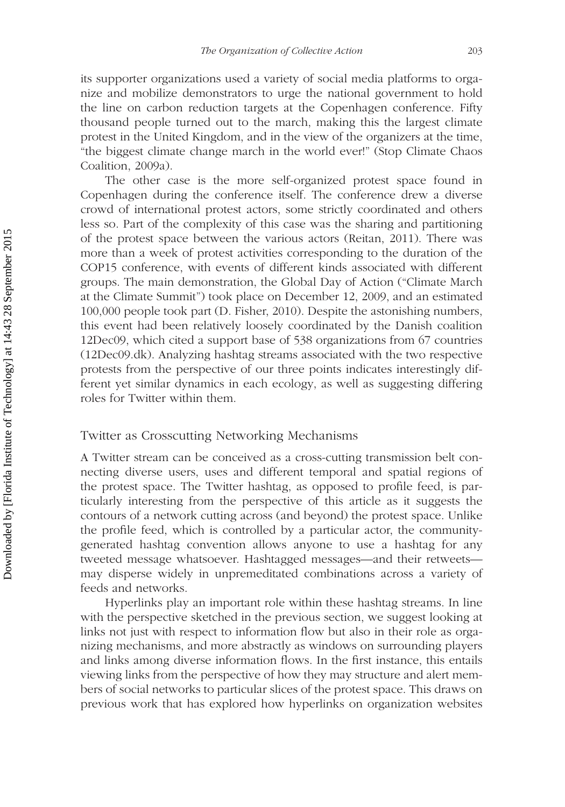its supporter organizations used a variety of social media platforms to organize and mobilize demonstrators to urge the national government to hold the line on carbon reduction targets at the Copenhagen conference. Fifty thousand people turned out to the march, making this the largest climate protest in the United Kingdom, and in the view of the organizers at the time, "the biggest climate change march in the world ever!" (Stop Climate Chaos Coalition, 2009a).

The other case is the more self-organized protest space found in Copenhagen during the conference itself. The conference drew a diverse crowd of international protest actors, some strictly coordinated and others less so. Part of the complexity of this case was the sharing and partitioning of the protest space between the various actors (Reitan, 2011). There was more than a week of protest activities corresponding to the duration of the COP15 conference, with events of different kinds associated with different groups. The main demonstration, the Global Day of Action ("Climate March at the Climate Summit") took place on December 12, 2009, and an estimated 100,000 people took part (D. Fisher, 2010). Despite the astonishing numbers, this event had been relatively loosely coordinated by the Danish coalition 12Dec09, which cited a support base of 538 organizations from 67 countries (12Dec09.dk). Analyzing hashtag streams associated with the two respective protests from the perspective of our three points indicates interestingly different yet similar dynamics in each ecology, as well as suggesting differing roles for Twitter within them.

#### Twitter as Crosscutting Networking Mechanisms

A Twitter stream can be conceived as a cross-cutting transmission belt connecting diverse users, uses and different temporal and spatial regions of the protest space. The Twitter hashtag, as opposed to profile feed, is particularly interesting from the perspective of this article as it suggests the contours of a network cutting across (and beyond) the protest space. Unlike the profile feed, which is controlled by a particular actor, the communitygenerated hashtag convention allows anyone to use a hashtag for any tweeted message whatsoever. Hashtagged messages—and their retweets may disperse widely in unpremeditated combinations across a variety of feeds and networks.

Hyperlinks play an important role within these hashtag streams. In line with the perspective sketched in the previous section, we suggest looking at links not just with respect to information flow but also in their role as organizing mechanisms, and more abstractly as windows on surrounding players and links among diverse information flows. In the first instance, this entails viewing links from the perspective of how they may structure and alert members of social networks to particular slices of the protest space. This draws on previous work that has explored how hyperlinks on organization websites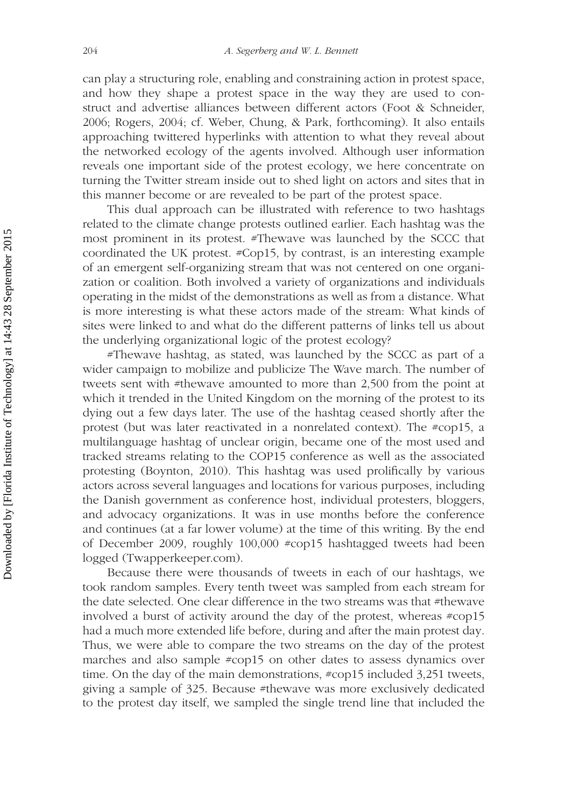can play a structuring role, enabling and constraining action in protest space, and how they shape a protest space in the way they are used to construct and advertise alliances between different actors (Foot & Schneider, 2006; Rogers, 2004; cf. Weber, Chung, & Park, forthcoming). It also entails approaching twittered hyperlinks with attention to what they reveal about the networked ecology of the agents involved. Although user information reveals one important side of the protest ecology, we here concentrate on turning the Twitter stream inside out to shed light on actors and sites that in this manner become or are revealed to be part of the protest space.

This dual approach can be illustrated with reference to two hashtags related to the climate change protests outlined earlier. Each hashtag was the most prominent in its protest. #Thewave was launched by the SCCC that coordinated the UK protest. #Cop15, by contrast, is an interesting example of an emergent self-organizing stream that was not centered on one organization or coalition. Both involved a variety of organizations and individuals operating in the midst of the demonstrations as well as from a distance. What is more interesting is what these actors made of the stream: What kinds of sites were linked to and what do the different patterns of links tell us about the underlying organizational logic of the protest ecology?

#Thewave hashtag, as stated, was launched by the SCCC as part of a wider campaign to mobilize and publicize The Wave march. The number of tweets sent with #thewave amounted to more than 2,500 from the point at which it trended in the United Kingdom on the morning of the protest to its dying out a few days later. The use of the hashtag ceased shortly after the protest (but was later reactivated in a nonrelated context). The #cop15, a multilanguage hashtag of unclear origin, became one of the most used and tracked streams relating to the COP15 conference as well as the associated protesting (Boynton, 2010). This hashtag was used prolifically by various actors across several languages and locations for various purposes, including the Danish government as conference host, individual protesters, bloggers, and advocacy organizations. It was in use months before the conference and continues (at a far lower volume) at the time of this writing. By the end of December 2009, roughly 100,000 #cop15 hashtagged tweets had been logged (Twapperkeeper.com).

Because there were thousands of tweets in each of our hashtags, we took random samples. Every tenth tweet was sampled from each stream for the date selected. One clear difference in the two streams was that #thewave involved a burst of activity around the day of the protest, whereas #cop15 had a much more extended life before, during and after the main protest day. Thus, we were able to compare the two streams on the day of the protest marches and also sample #cop15 on other dates to assess dynamics over time. On the day of the main demonstrations, #cop15 included 3,251 tweets, giving a sample of 325. Because #thewave was more exclusively dedicated to the protest day itself, we sampled the single trend line that included the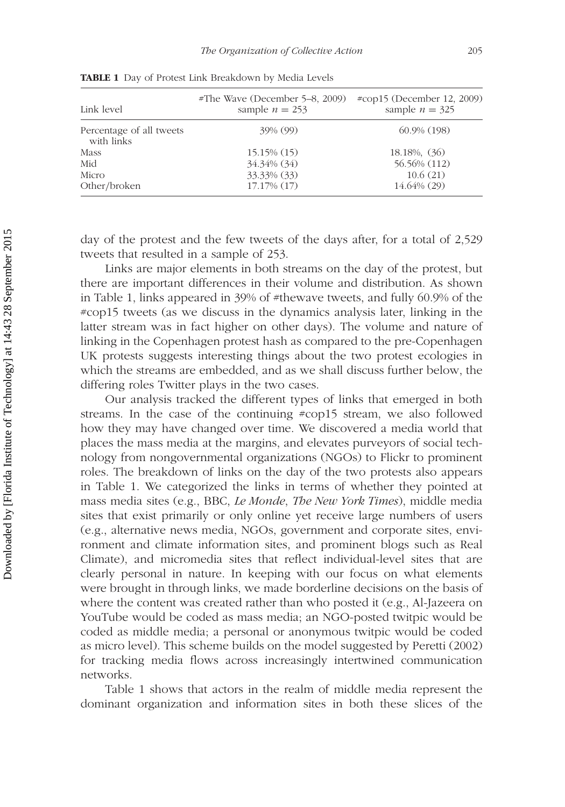| Link level                             | #The Wave (December 5–8, 2009) #cop15 (December 12, 2009)<br>sample $n = 253$ | sample $n = 325$ |  |
|----------------------------------------|-------------------------------------------------------------------------------|------------------|--|
| Percentage of all tweets<br>with links | 39% (99)                                                                      | $60.9\%$ (198)   |  |
| Mass                                   | $15.15\%$ (15)                                                                | 18.18%, (36)     |  |
| Mid                                    | 34.34% (34)                                                                   | 56.56% (112)     |  |
| Micro                                  | 33.33% (33)                                                                   | 10.6(21)         |  |
| Other/broken                           | $17.17\%$ $(17)$                                                              | 14.64% (29)      |  |

**TABLE 1** Day of Protest Link Breakdown by Media Levels

day of the protest and the few tweets of the days after, for a total of 2,529 tweets that resulted in a sample of 253.

Links are major elements in both streams on the day of the protest, but there are important differences in their volume and distribution. As shown in Table 1, links appeared in 39% of #thewave tweets, and fully 60.9% of the #cop15 tweets (as we discuss in the dynamics analysis later, linking in the latter stream was in fact higher on other days). The volume and nature of linking in the Copenhagen protest hash as compared to the pre-Copenhagen UK protests suggests interesting things about the two protest ecologies in which the streams are embedded, and as we shall discuss further below, the differing roles Twitter plays in the two cases.

Our analysis tracked the different types of links that emerged in both streams. In the case of the continuing #cop15 stream, we also followed how they may have changed over time. We discovered a media world that places the mass media at the margins, and elevates purveyors of social technology from nongovernmental organizations (NGOs) to Flickr to prominent roles. The breakdown of links on the day of the two protests also appears in Table 1. We categorized the links in terms of whether they pointed at mass media sites (e.g., BBC, *Le Monde*, *The New York Times*), middle media sites that exist primarily or only online yet receive large numbers of users (e.g., alternative news media, NGOs, government and corporate sites, environment and climate information sites, and prominent blogs such as Real Climate), and micromedia sites that reflect individual-level sites that are clearly personal in nature. In keeping with our focus on what elements were brought in through links, we made borderline decisions on the basis of where the content was created rather than who posted it (e.g., Al-Jazeera on YouTube would be coded as mass media; an NGO-posted twitpic would be coded as middle media; a personal or anonymous twitpic would be coded as micro level). This scheme builds on the model suggested by Peretti (2002) for tracking media flows across increasingly intertwined communication networks.

Table 1 shows that actors in the realm of middle media represent the dominant organization and information sites in both these slices of the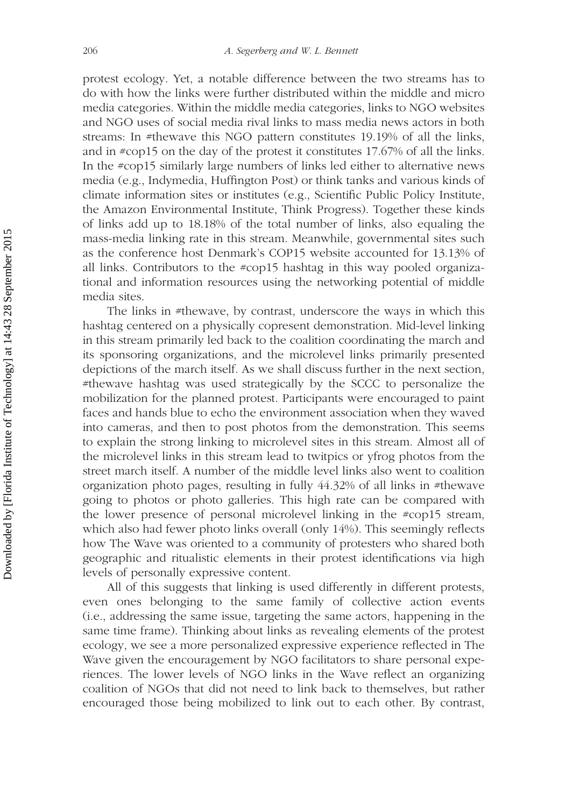protest ecology. Yet, a notable difference between the two streams has to do with how the links were further distributed within the middle and micro media categories. Within the middle media categories, links to NGO websites and NGO uses of social media rival links to mass media news actors in both streams: In #thewave this NGO pattern constitutes 19.19% of all the links, and in #cop15 on the day of the protest it constitutes 17.67% of all the links. In the #cop15 similarly large numbers of links led either to alternative news media (e.g., Indymedia, Huffington Post) or think tanks and various kinds of climate information sites or institutes (e.g., Scientific Public Policy Institute, the Amazon Environmental Institute, Think Progress). Together these kinds of links add up to 18.18% of the total number of links, also equaling the mass-media linking rate in this stream. Meanwhile, governmental sites such as the conference host Denmark's COP15 website accounted for 13.13% of all links. Contributors to the #cop15 hashtag in this way pooled organizational and information resources using the networking potential of middle media sites.

The links in #thewave, by contrast, underscore the ways in which this hashtag centered on a physically copresent demonstration. Mid-level linking in this stream primarily led back to the coalition coordinating the march and its sponsoring organizations, and the microlevel links primarily presented depictions of the march itself. As we shall discuss further in the next section, #thewave hashtag was used strategically by the SCCC to personalize the mobilization for the planned protest. Participants were encouraged to paint faces and hands blue to echo the environment association when they waved into cameras, and then to post photos from the demonstration. This seems to explain the strong linking to microlevel sites in this stream. Almost all of the microlevel links in this stream lead to twitpics or yfrog photos from the street march itself. A number of the middle level links also went to coalition organization photo pages, resulting in fully 44.32% of all links in #thewave going to photos or photo galleries. This high rate can be compared with the lower presence of personal microlevel linking in the #cop15 stream, which also had fewer photo links overall (only 14%). This seemingly reflects how The Wave was oriented to a community of protesters who shared both geographic and ritualistic elements in their protest identifications via high levels of personally expressive content.

All of this suggests that linking is used differently in different protests, even ones belonging to the same family of collective action events (i.e., addressing the same issue, targeting the same actors, happening in the same time frame). Thinking about links as revealing elements of the protest ecology, we see a more personalized expressive experience reflected in The Wave given the encouragement by NGO facilitators to share personal experiences. The lower levels of NGO links in the Wave reflect an organizing coalition of NGOs that did not need to link back to themselves, but rather encouraged those being mobilized to link out to each other. By contrast,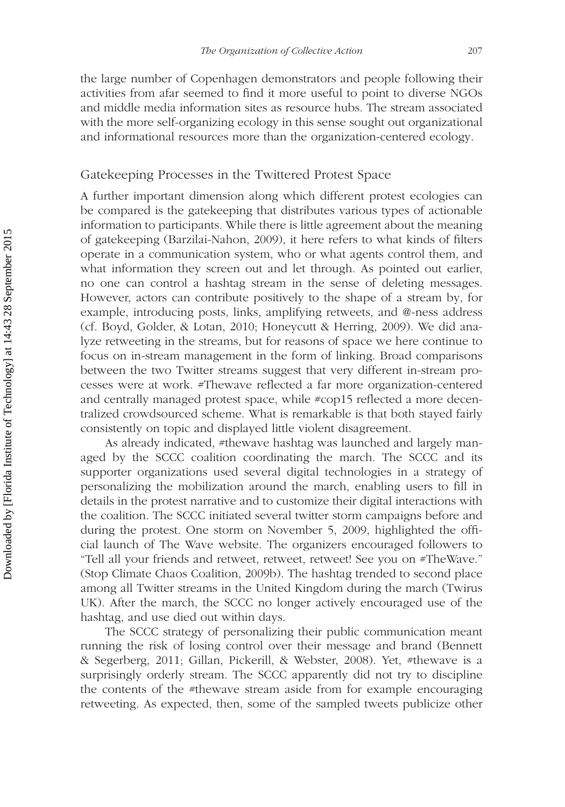the large number of Copenhagen demonstrators and people following their activities from afar seemed to find it more useful to point to diverse NGOs and middle media information sites as resource hubs. The stream associated with the more self-organizing ecology in this sense sought out organizational and informational resources more than the organization-centered ecology.

#### Gatekeeping Processes in the Twittered Protest Space

A further important dimension along which different protest ecologies can be compared is the gatekeeping that distributes various types of actionable information to participants. While there is little agreement about the meaning of gatekeeping (Barzilai-Nahon, 2009), it here refers to what kinds of filters operate in a communication system, who or what agents control them, and what information they screen out and let through. As pointed out earlier, no one can control a hashtag stream in the sense of deleting messages. However, actors can contribute positively to the shape of a stream by, for example, introducing posts, links, amplifying retweets, and @-ness address (cf. Boyd, Golder, & Lotan, 2010; Honeycutt & Herring, 2009). We did analyze retweeting in the streams, but for reasons of space we here continue to focus on in-stream management in the form of linking. Broad comparisons between the two Twitter streams suggest that very different in-stream processes were at work. #Thewave reflected a far more organization-centered and centrally managed protest space, while #cop15 reflected a more decentralized crowdsourced scheme. What is remarkable is that both stayed fairly consistently on topic and displayed little violent disagreement.

As already indicated, #thewave hashtag was launched and largely managed by the SCCC coalition coordinating the march. The SCCC and its supporter organizations used several digital technologies in a strategy of personalizing the mobilization around the march, enabling users to fill in details in the protest narrative and to customize their digital interactions with the coalition. The SCCC initiated several twitter storm campaigns before and during the protest. One storm on November 5, 2009, highlighted the official launch of The Wave website. The organizers encouraged followers to "Tell all your friends and retweet, retweet, retweet! See you on #TheWave." (Stop Climate Chaos Coalition, 2009b). The hashtag trended to second place among all Twitter streams in the United Kingdom during the march (Twirus UK). After the march, the SCCC no longer actively encouraged use of the hashtag, and use died out within days.

The SCCC strategy of personalizing their public communication meant running the risk of losing control over their message and brand (Bennett & Segerberg, 2011; Gillan, Pickerill, & Webster, 2008). Yet, #thewave is a surprisingly orderly stream. The SCCC apparently did not try to discipline the contents of the #thewave stream aside from for example encouraging retweeting. As expected, then, some of the sampled tweets publicize other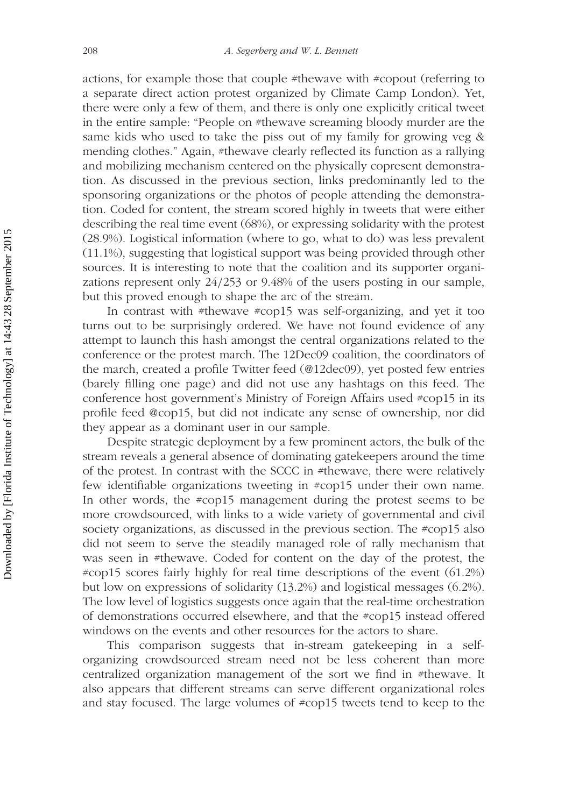actions, for example those that couple #thewave with #copout (referring to a separate direct action protest organized by Climate Camp London). Yet, there were only a few of them, and there is only one explicitly critical tweet in the entire sample: "People on #thewave screaming bloody murder are the same kids who used to take the piss out of my family for growing veg & mending clothes." Again, #thewave clearly reflected its function as a rallying and mobilizing mechanism centered on the physically copresent demonstration. As discussed in the previous section, links predominantly led to the sponsoring organizations or the photos of people attending the demonstration. Coded for content, the stream scored highly in tweets that were either describing the real time event (68%), or expressing solidarity with the protest (28.9%). Logistical information (where to go, what to do) was less prevalent (11.1%), suggesting that logistical support was being provided through other sources. It is interesting to note that the coalition and its supporter organizations represent only 24*/*253 or 9.48% of the users posting in our sample, but this proved enough to shape the arc of the stream.

In contrast with #thewave #cop15 was self-organizing, and yet it too turns out to be surprisingly ordered. We have not found evidence of any attempt to launch this hash amongst the central organizations related to the conference or the protest march. The 12Dec09 coalition, the coordinators of the march, created a profile Twitter feed (@12dec09), yet posted few entries (barely filling one page) and did not use any hashtags on this feed. The conference host government's Ministry of Foreign Affairs used #cop15 in its profile feed @cop15, but did not indicate any sense of ownership, nor did they appear as a dominant user in our sample.

Despite strategic deployment by a few prominent actors, the bulk of the stream reveals a general absence of dominating gatekeepers around the time of the protest. In contrast with the SCCC in #thewave, there were relatively few identifiable organizations tweeting in #cop15 under their own name. In other words, the #cop15 management during the protest seems to be more crowdsourced, with links to a wide variety of governmental and civil society organizations, as discussed in the previous section. The #cop15 also did not seem to serve the steadily managed role of rally mechanism that was seen in #thewave. Coded for content on the day of the protest, the #cop15 scores fairly highly for real time descriptions of the event (61.2%) but low on expressions of solidarity (13.2%) and logistical messages (6.2%). The low level of logistics suggests once again that the real-time orchestration of demonstrations occurred elsewhere, and that the #cop15 instead offered windows on the events and other resources for the actors to share.

This comparison suggests that in-stream gatekeeping in a selforganizing crowdsourced stream need not be less coherent than more centralized organization management of the sort we find in #thewave. It also appears that different streams can serve different organizational roles and stay focused. The large volumes of #cop15 tweets tend to keep to the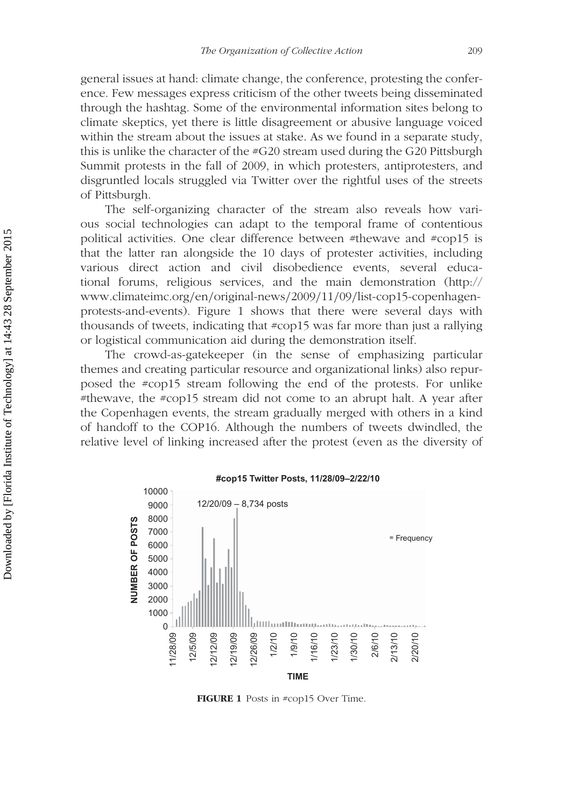general issues at hand: climate change, the conference, protesting the conference. Few messages express criticism of the other tweets being disseminated through the hashtag. Some of the environmental information sites belong to climate skeptics, yet there is little disagreement or abusive language voiced within the stream about the issues at stake. As we found in a separate study, this is unlike the character of the #G20 stream used during the G20 Pittsburgh Summit protests in the fall of 2009, in which protesters, antiprotesters, and disgruntled locals struggled via Twitter over the rightful uses of the streets of Pittsburgh.

The self-organizing character of the stream also reveals how various social technologies can adapt to the temporal frame of contentious political activities. One clear difference between #thewave and #cop15 is that the latter ran alongside the 10 days of protester activities, including various direct action and civil disobedience events, several educational forums, religious services, and the main demonstration (http:// www.climateimc.org*/*en*/*original-news*/*2009*/*11*/*09*/*list-cop15-copenhagenprotests-and-events). Figure 1 shows that there were several days with thousands of tweets, indicating that #cop15 was far more than just a rallying or logistical communication aid during the demonstration itself.

The crowd-as-gatekeeper (in the sense of emphasizing particular themes and creating particular resource and organizational links) also repurposed the #cop15 stream following the end of the protests. For unlike #thewave, the #cop15 stream did not come to an abrupt halt. A year after the Copenhagen events, the stream gradually merged with others in a kind of handoff to the COP16. Although the numbers of tweets dwindled, the relative level of linking increased after the protest (even as the diversity of



**FIGURE 1** Posts in #cop15 Over Time.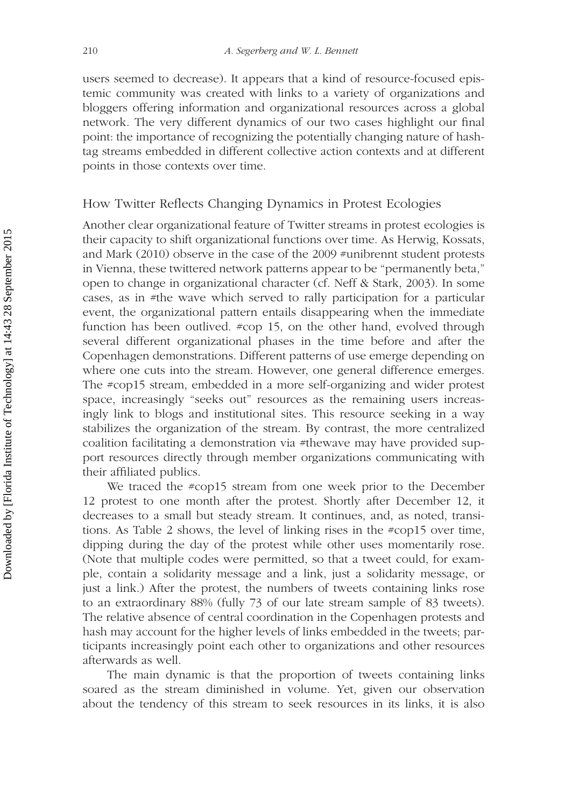users seemed to decrease). It appears that a kind of resource-focused epistemic community was created with links to a variety of organizations and bloggers offering information and organizational resources across a global network. The very different dynamics of our two cases highlight our final point: the importance of recognizing the potentially changing nature of hashtag streams embedded in different collective action contexts and at different points in those contexts over time.

### How Twitter Reflects Changing Dynamics in Protest Ecologies

Another clear organizational feature of Twitter streams in protest ecologies is their capacity to shift organizational functions over time. As Herwig, Kossats, and Mark (2010) observe in the case of the 2009 #unibrennt student protests in Vienna, these twittered network patterns appear to be "permanently beta," open to change in organizational character (cf. Neff & Stark, 2003). In some cases, as in #the wave which served to rally participation for a particular event, the organizational pattern entails disappearing when the immediate function has been outlived. #cop 15, on the other hand, evolved through several different organizational phases in the time before and after the Copenhagen demonstrations. Different patterns of use emerge depending on where one cuts into the stream. However, one general difference emerges. The #cop15 stream, embedded in a more self-organizing and wider protest space, increasingly "seeks out" resources as the remaining users increasingly link to blogs and institutional sites. This resource seeking in a way stabilizes the organization of the stream. By contrast, the more centralized coalition facilitating a demonstration via #thewave may have provided support resources directly through member organizations communicating with their affiliated publics.

We traced the #cop15 stream from one week prior to the December 12 protest to one month after the protest. Shortly after December 12, it decreases to a small but steady stream. It continues, and, as noted, transitions. As Table 2 shows, the level of linking rises in the #cop15 over time, dipping during the day of the protest while other uses momentarily rose. (Note that multiple codes were permitted, so that a tweet could, for example, contain a solidarity message and a link, just a solidarity message, or just a link.) After the protest, the numbers of tweets containing links rose to an extraordinary 88% (fully 73 of our late stream sample of 83 tweets). The relative absence of central coordination in the Copenhagen protests and hash may account for the higher levels of links embedded in the tweets; participants increasingly point each other to organizations and other resources afterwards as well.

The main dynamic is that the proportion of tweets containing links soared as the stream diminished in volume. Yet, given our observation about the tendency of this stream to seek resources in its links, it is also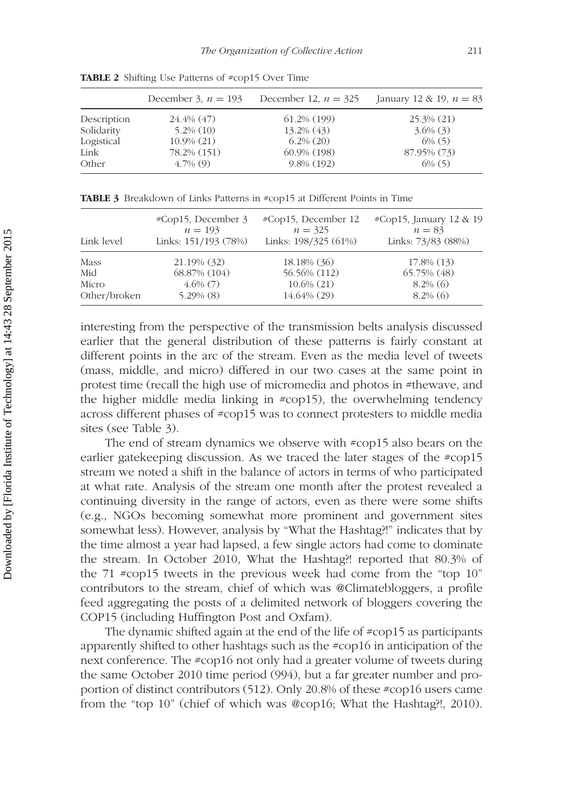|             | December 3, $n = 193$ |                | December 12, $n = 325$ January 12 & 19, $n = 83$ |
|-------------|-----------------------|----------------|--------------------------------------------------|
| Description | 24.4% (47)            | $61.2\%$ (199) | $25.3\%$ $(21)$                                  |
| Solidarity  | $5.2\%$ (10)          | $13.2\%$ (43)  | $3.6\%$ (3)                                      |
| Logistical  | $10.9\%$ (21)         | $6.2\%$ (20)   | $6\%$ (5)                                        |
| Link        | 78.2% (151)           | $60.9\%$ (198) | 87.95% (73)                                      |
| Other       | $4.7\%$ (9)           | $9.8\%$ (192)  | $6\%$ (5)                                        |

**TABLE 2** Shifting Use Patterns of #cop15 Over Time

**TABLE 3** Breakdown of Links Patterns in #cop15 at Different Points in Time

| Link level   | #Cop15, December 3<br>$n = 193$<br>Links: 151/193 (78%) | #Cop15, December 12<br>$n = 325$<br>Links: 198/325 (61%) | #Cop15, January 12 & 19<br>$n = 83$<br>Links: 73/83 (88%) |
|--------------|---------------------------------------------------------|----------------------------------------------------------|-----------------------------------------------------------|
| Mass         | 21.19% (32)                                             | 18.18% (36)                                              | $17.8\%$ $(13)$                                           |
| Mid          | 68.87% (104)                                            | 56.56% (112)                                             | $65.75\%$ (48)                                            |
| Micro        | $4.6\%$ (7)                                             | $10.6\%$ (21)                                            | $8.2\%$ (6)                                               |
| Other/broken | $5.29\%$ (8)                                            | 14.64% (29)                                              | $8.2\%$ (6)                                               |

interesting from the perspective of the transmission belts analysis discussed earlier that the general distribution of these patterns is fairly constant at different points in the arc of the stream. Even as the media level of tweets (mass, middle, and micro) differed in our two cases at the same point in protest time (recall the high use of micromedia and photos in #thewave, and the higher middle media linking in #cop15), the overwhelming tendency across different phases of #cop15 was to connect protesters to middle media sites (see Table 3).

The end of stream dynamics we observe with #cop15 also bears on the earlier gatekeeping discussion. As we traced the later stages of the #cop15 stream we noted a shift in the balance of actors in terms of who participated at what rate. Analysis of the stream one month after the protest revealed a continuing diversity in the range of actors, even as there were some shifts (e.g., NGOs becoming somewhat more prominent and government sites somewhat less). However, analysis by "What the Hashtag?!" indicates that by the time almost a year had lapsed, a few single actors had come to dominate the stream. In October 2010, What the Hashtag?! reported that 80.3% of the 71 #cop15 tweets in the previous week had come from the "top 10" contributors to the stream, chief of which was @Climatebloggers, a profile feed aggregating the posts of a delimited network of bloggers covering the COP15 (including Huffington Post and Oxfam).

The dynamic shifted again at the end of the life of #cop15 as participants apparently shifted to other hashtags such as the #cop16 in anticipation of the next conference. The #cop16 not only had a greater volume of tweets during the same October 2010 time period (994), but a far greater number and proportion of distinct contributors (512). Only 20.8% of these #cop16 users came from the "top 10" (chief of which was @cop16; What the Hashtag?!, 2010).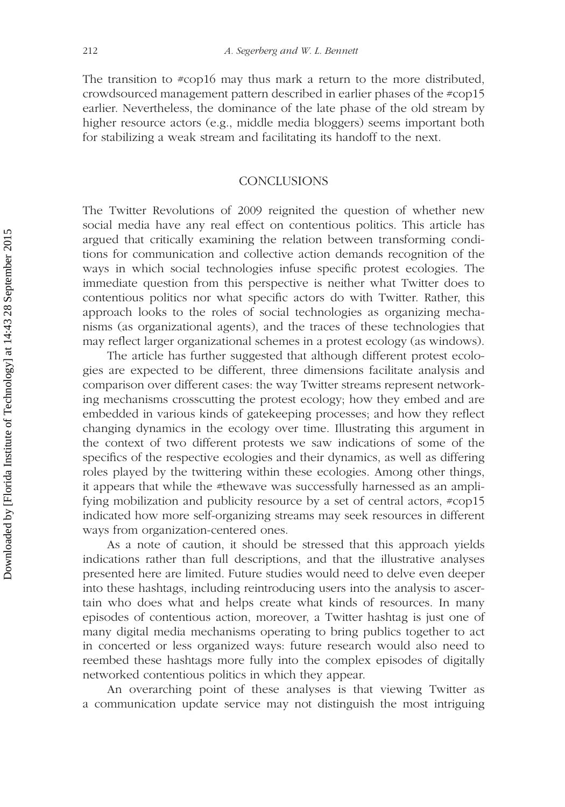The transition to #cop16 may thus mark a return to the more distributed, crowdsourced management pattern described in earlier phases of the #cop15 earlier. Nevertheless, the dominance of the late phase of the old stream by higher resource actors (e.g., middle media bloggers) seems important both for stabilizing a weak stream and facilitating its handoff to the next.

# **CONCLUSIONS**

The Twitter Revolutions of 2009 reignited the question of whether new social media have any real effect on contentious politics. This article has argued that critically examining the relation between transforming conditions for communication and collective action demands recognition of the ways in which social technologies infuse specific protest ecologies. The immediate question from this perspective is neither what Twitter does to contentious politics nor what specific actors do with Twitter. Rather, this approach looks to the roles of social technologies as organizing mechanisms (as organizational agents), and the traces of these technologies that may reflect larger organizational schemes in a protest ecology (as windows).

The article has further suggested that although different protest ecologies are expected to be different, three dimensions facilitate analysis and comparison over different cases: the way Twitter streams represent networking mechanisms crosscutting the protest ecology; how they embed and are embedded in various kinds of gatekeeping processes; and how they reflect changing dynamics in the ecology over time. Illustrating this argument in the context of two different protests we saw indications of some of the specifics of the respective ecologies and their dynamics, as well as differing roles played by the twittering within these ecologies. Among other things, it appears that while the #thewave was successfully harnessed as an amplifying mobilization and publicity resource by a set of central actors, #cop15 indicated how more self-organizing streams may seek resources in different ways from organization-centered ones.

As a note of caution, it should be stressed that this approach yields indications rather than full descriptions, and that the illustrative analyses presented here are limited. Future studies would need to delve even deeper into these hashtags, including reintroducing users into the analysis to ascertain who does what and helps create what kinds of resources. In many episodes of contentious action, moreover, a Twitter hashtag is just one of many digital media mechanisms operating to bring publics together to act in concerted or less organized ways: future research would also need to reembed these hashtags more fully into the complex episodes of digitally networked contentious politics in which they appear.

An overarching point of these analyses is that viewing Twitter as a communication update service may not distinguish the most intriguing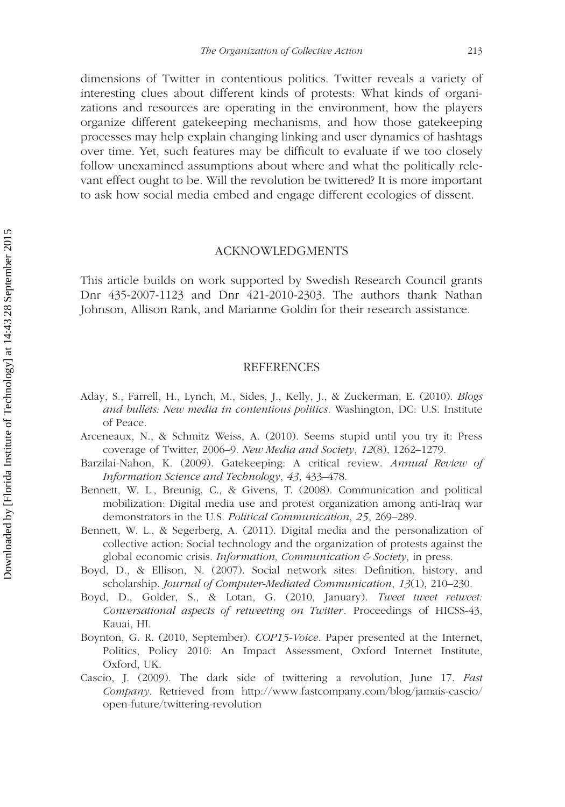dimensions of Twitter in contentious politics. Twitter reveals a variety of interesting clues about different kinds of protests: What kinds of organizations and resources are operating in the environment, how the players organize different gatekeeping mechanisms, and how those gatekeeping processes may help explain changing linking and user dynamics of hashtags over time. Yet, such features may be difficult to evaluate if we too closely follow unexamined assumptions about where and what the politically relevant effect ought to be. Will the revolution be twittered? It is more important to ask how social media embed and engage different ecologies of dissent.

#### ACKNOWLEDGMENTS

This article builds on work supported by Swedish Research Council grants Dnr 435-2007-1123 and Dnr 421-2010-2303. The authors thank Nathan Johnson, Allison Rank, and Marianne Goldin for their research assistance.

#### REFERENCES

- Aday, S., Farrell, H., Lynch, M., Sides, J., Kelly, J., & Zuckerman, E. (2010). *Blogs and bullets: New media in contentious politics*. Washington, DC: U.S. Institute of Peace.
- Arceneaux, N., & Schmitz Weiss, A. (2010). Seems stupid until you try it: Press coverage of Twitter, 2006–9. *New Media and Society*, *12*(8), 1262–1279.
- Barzilai-Nahon, K. (2009). Gatekeeping: A critical review. *Annual Review of Information Science and Technology*, *43*, 433–478.
- Bennett, W. L., Breunig, C., & Givens, T. (2008). Communication and political mobilization: Digital media use and protest organization among anti-Iraq war demonstrators in the U.S. *Political Communication*, *25*, 269–289.
- Bennett, W. L., & Segerberg, A. (2011). Digital media and the personalization of collective action: Social technology and the organization of protests against the global economic crisis. *Information, Communication & Society*, in press.
- Boyd, D., & Ellison, N. (2007). Social network sites: Definition, history, and scholarship. *Journal of Computer-Mediated Communication*, *13*(1), 210–230.
- Boyd, D., Golder, S., & Lotan, G. (2010, January). *Tweet tweet retweet: Conversational aspects of retweeting on Twitter*. Proceedings of HICSS-43, Kauai, HI.
- Boynton, G. R. (2010, September). *COP15-Voice*. Paper presented at the Internet, Politics, Policy 2010: An Impact Assessment, Oxford Internet Institute, Oxford, UK.
- Cascio, J. (2009). The dark side of twittering a revolution, June 17. *Fast Company.* Retrieved from http://www.fastcompany.com/blog/jamais-cascio/ open-future/twittering-revolution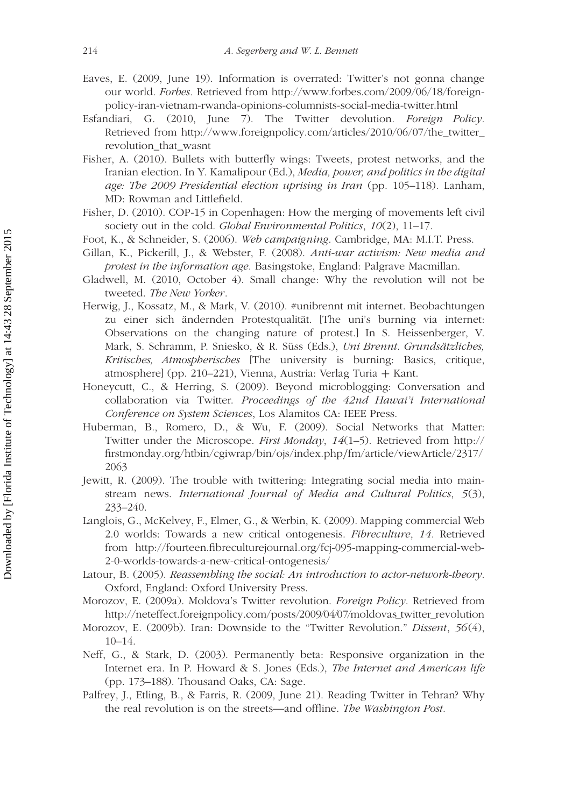- Eaves, E. (2009, June 19). Information is overrated: Twitter's not gonna change our world. *Forbes.* Retrieved from http://www.forbes.com/2009/06/18/foreignpolicy-iran-vietnam-rwanda-opinions-columnists-social-media-twitter.html
- Esfandiari, G. (2010, June 7). The Twitter devolution. *Foreign Policy.* Retrieved from http://www.foreignpolicy.com/articles/2010/06/07/the\_twitter\_ revolution\_that\_wasnt
- Fisher, A. (2010). Bullets with butterfly wings: Tweets, protest networks, and the Iranian election. In Y. Kamalipour (Ed.), *Media, power, and politics in the digital age: The 2009 Presidential election uprising in Iran* (pp. 105–118). Lanham, MD: Rowman and Littlefield.
- Fisher, D. (2010). COP-15 in Copenhagen: How the merging of movements left civil society out in the cold. *Global Environmental Politics*, *10*(2), 11–17.
- Foot, K., & Schneider, S. (2006). *Web campaigning*. Cambridge, MA: M.I.T. Press.
- Gillan, K., Pickerill, J., & Webster, F. (2008). *Anti-war activism: New media and protest in the information age*. Basingstoke, England: Palgrave Macmillan.
- Gladwell, M. (2010, October 4). Small change: Why the revolution will not be tweeted. *The New Yorker*.
- Herwig, J., Kossatz, M., & Mark, V. (2010). #unibrennt mit internet. Beobachtungen zu einer sich ändernden Protestqualität. [The uni's burning via internet: Observations on the changing nature of protest.] In S. Heissenberger, V. Mark, S. Schramm, P. Sniesko, & R. Süss (Eds.), *Uni Brennt. Grundsätzliches, Kritisches, Atmospherisches* [The university is burning: Basics, critique, atmosphere] (pp. 210–221), Vienna, Austria: Verlag Turia + Kant.
- Honeycutt, C., & Herring, S. (2009). Beyond microblogging: Conversation and collaboration via Twitter. *Proceedings of the 42nd Hawai'i International Conference on System Sciences*, Los Alamitos CA: IEEE Press.
- Huberman, B., Romero, D., & Wu, F. (2009). Social Networks that Matter: Twitter under the Microscope. *First Monday*, *14*(1–5). Retrieved from http:// firstmonday.org/htbin/cgiwrap/bin/ojs/index.php*/*fm/article/viewArticle/2317/ 2063
- Jewitt, R. (2009). The trouble with twittering: Integrating social media into mainstream news. *International Journal of Media and Cultural Politics*, *5*(3), 233–240.
- Langlois, G., McKelvey, F., Elmer, G., & Werbin, K. (2009). Mapping commercial Web 2.0 worlds: Towards a new critical ontogenesis. *Fibreculture*, *14*. Retrieved from http://fourteen.fibreculturejournal.org/fcj-095-mapping-commercial-web-2-0-worlds-towards-a-new-critical-ontogenesis/
- Latour, B. (2005). *Reassembling the social: An introduction to actor-network-theory*. Oxford, England: Oxford University Press.
- Morozov, E. (2009a). Moldova's Twitter revolution. *Foreign Policy*. Retrieved from http://neteffect.foreignpolicy.com/posts/2009/04/07/moldovas\_twitter\_revolution
- Morozov, E. (2009b). Iran: Downside to the "Twitter Revolution." *Dissent*, *56*(4), 10–14.
- Neff, G., & Stark, D. (2003). Permanently beta: Responsive organization in the Internet era. In P. Howard & S. Jones (Eds.), *The Internet and American life* (pp. 173–188). Thousand Oaks, CA: Sage.
- Palfrey, J., Etling, B., & Farris, R. (2009, June 21). Reading Twitter in Tehran? Why the real revolution is on the streets—and offline. *The Washington Post.*